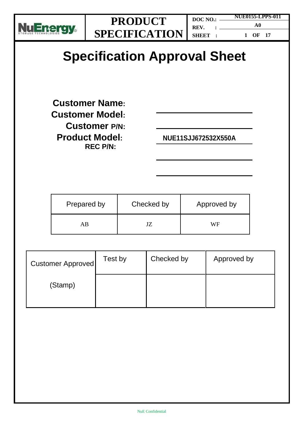

**DOC NO.: REV. : SHEET : NUE0155-LPPS-011 A0 1 OF 17**

# **Specification Approval Sheet**

**Customer Name: Customer Model: Customer P/N: Product Model: NUE11SJJ672532X550A REC P/N:**

| Prepared by | Checked by |    |
|-------------|------------|----|
| ΑK          |            | WF |

| <b>Customer Approved</b> | Test by | Checked by | Approved by |
|--------------------------|---------|------------|-------------|
| (Stamp)                  |         |            |             |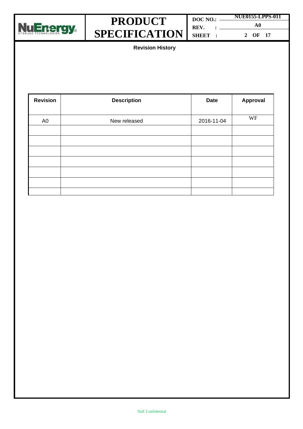

| $DOC NO.: \$   |  | <b>NUE0155-LPPS-011</b> |
|----------------|--|-------------------------|
|                |  | A0                      |
| <b>SHEET</b> 3 |  | 2 OF 17                 |

**Revision History**

| <b>Revision</b> | <b>Description</b> | <b>Date</b> | Approval |
|-----------------|--------------------|-------------|----------|
|                 |                    |             |          |
| A <sub>0</sub>  | New released       | 2016-11-04  | WF       |
|                 |                    |             |          |
|                 |                    |             |          |
|                 |                    |             |          |
|                 |                    |             |          |
|                 |                    |             |          |
|                 |                    |             |          |
|                 |                    |             |          |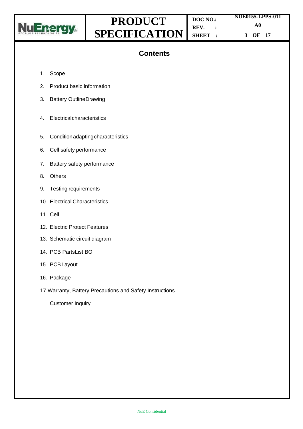

|         |  | <b>NUE0155-LPPS-011</b> |  |
|---------|--|-------------------------|--|
|         |  | A0                      |  |
| SHEET : |  | 3 OF 17                 |  |

### **Contents**

- 1. Scope
- 2. Product basic information
- 3. Battery OutlineDrawing
- 4. Electricalcharacteristics
- 5. Conditionadaptingcharacteristics
- 6. Cell safety performance
- 7. Battery safety performance
- 8. Others
- 9. Testing requirements
- 10. Electrical Characteristics
- 11. Cell
- 12. Electric Protect Features
- 13. Schematic circuit diagram
- 14. PCB PartsList BO
- 15. PCBLayout
- 16. Package
- 17 Warranty, Battery Precautions and Safety Instructions

Customer Inquiry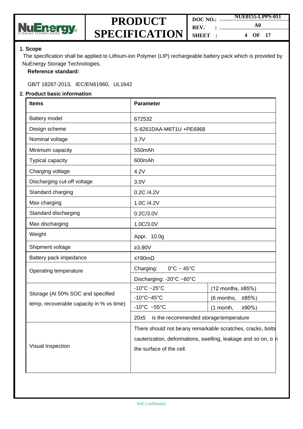

| DOC NO.: | NUE0155-LPPS-011 |  |
|----------|------------------|--|
| REV.     | A0               |  |
| SHEET :  | OF 17<br>4       |  |

#### **1. Scope**

The specification shall be applied to Lithium-ion Polymer (LIP) rechargeable battery pack which is provided by NuEnergy Storage Technologies.

#### **Reference standard:**

GB/T 18287-2013, IEC/EN61960, UL1642

#### **2. Product basic information**

| <b>Items</b>                                                                                                                                                                 | <b>Parameter</b>                                   |                       |  |
|------------------------------------------------------------------------------------------------------------------------------------------------------------------------------|----------------------------------------------------|-----------------------|--|
| Battery model                                                                                                                                                                | 672532                                             |                       |  |
| Design scheme                                                                                                                                                                | S-8261DAA-M6T1U +PE6968                            |                       |  |
| Nominal voltage                                                                                                                                                              | 3.7V                                               |                       |  |
| Minimum capacity                                                                                                                                                             | 550mAh                                             |                       |  |
| <b>Typical capacity</b>                                                                                                                                                      | 600mAh                                             |                       |  |
| Charging voltage                                                                                                                                                             | 4.2V                                               |                       |  |
| Discharging cut-off voltage                                                                                                                                                  | 3.0V                                               |                       |  |
| Standard charging                                                                                                                                                            | 0.2C /4.2V                                         |                       |  |
| Max charging                                                                                                                                                                 | 1.0C /4.2V                                         |                       |  |
| Standard discharging                                                                                                                                                         | 0.2C/3.0V                                          |                       |  |
| Max discharging                                                                                                                                                              | 1.0C/3.0V                                          |                       |  |
| Weight                                                                                                                                                                       | Appr. 10.0g                                        |                       |  |
| Shipment voltage                                                                                                                                                             | $≥3.90V$                                           |                       |  |
| Battery pack impedance                                                                                                                                                       | ≤190mΩ                                             |                       |  |
| Operating temperature                                                                                                                                                        | $0^{\circ}$ C ~ 45 $^{\circ}$ C<br>Charging:       |                       |  |
|                                                                                                                                                                              | Discharging: -20°C ~60°C                           |                       |  |
|                                                                                                                                                                              | $-10^{\circ}$ C ~25 $^{\circ}$ C                   | (12 months, ≥85%)     |  |
| Storage (At 50% SOC and specified                                                                                                                                            | $-10^{\circ}$ C $-45^{\circ}$ C                    | (6 months, ≥85%)      |  |
| temp, recoverable capacity in % vs time)                                                                                                                                     | -10 $^{\circ}$ C ~55 $^{\circ}$ C                  | (1 month,<br>$≥90%$ ) |  |
|                                                                                                                                                                              | $20 + 5$<br>is the recommended storage temperature |                       |  |
| There should not beany remarkable scratches, cracks, bolts<br>cauterization, deformations, swelling, leakage and so on, o h<br>Visual Inspection<br>the surface of the cell. |                                                    |                       |  |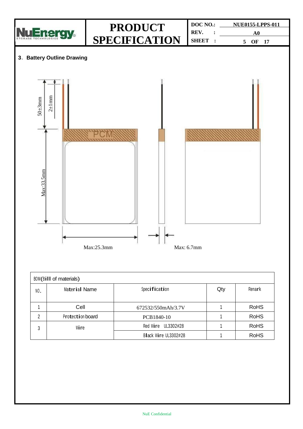

| BOM(Bill of materials) |                  |                      |     |             |
|------------------------|------------------|----------------------|-----|-------------|
| NO.                    | Material Name    | Specification        | Qty | Remark      |
|                        | Cell             | 672532/550mAh/3.7V   |     | <b>RoHS</b> |
| 2                      | Protection board | PCB1840-10           |     | <b>RoHS</b> |
| 3                      | Wire             | Red Wire UL3302#28   |     | <b>RoHS</b> |
|                        |                  | Black Wire UL3302#28 |     | <b>RoHS</b> |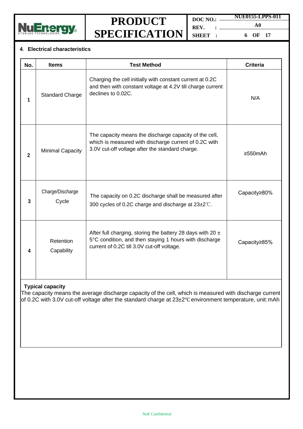

**DOC NO.: REV. : SHEET : NUE0155-LPPS-011 A0 6 OF 17**

#### **4**. **Electrical characteristics**

| No.                                                                                                                                                                                                                                            | <b>Items</b>              | <b>Test Method</b>                                                                                                                                                     | <b>Criteria</b> |  |
|------------------------------------------------------------------------------------------------------------------------------------------------------------------------------------------------------------------------------------------------|---------------------------|------------------------------------------------------------------------------------------------------------------------------------------------------------------------|-----------------|--|
| 1                                                                                                                                                                                                                                              | <b>Standard Charge</b>    | Charging the cell initially with constant current at 0.2C<br>and then with constant voltage at 4.2V till charge current<br>declines to 0.02C.                          | N/A             |  |
| $\overline{2}$                                                                                                                                                                                                                                 | <b>Minimal Capacity</b>   | The capacity means the discharge capacity of the cell,<br>which is measured with discharge current of 0.2C with<br>3.0V cut-off voltage after the standard charge.     | $\geq 550$ mAh  |  |
| 3                                                                                                                                                                                                                                              | Charge/Discharge<br>Cycle | The capacity on 0.2C discharge shall be measured after<br>300 cycles of 0.2C charge and discharge at 23±2°C.                                                           | Capacity≥80%    |  |
| 4                                                                                                                                                                                                                                              | Retention<br>Capability   | After full charging, storing the battery 28 days with 20 $\pm$<br>5°C condition, and then staying 1 hours with discharge<br>current of 0.2C till 3.0V cut-off voltage. | Capacity≥85%    |  |
| <b>Typical capacity</b><br>The capacity means the average discharge capacity of the cell, which is measured with discharge current<br>of 0.2C with 3.0V cut-off voltage after the standard charge at 23±2°C environment temperature, unit: mAh |                           |                                                                                                                                                                        |                 |  |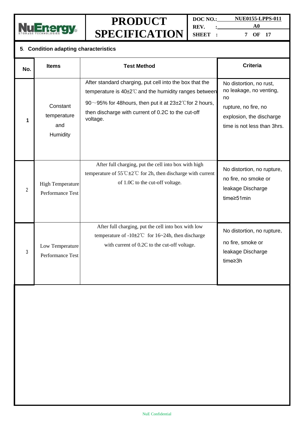

**DOC NO.: NUE0155-LPPS-011 REV. : A0 SHEET : 7 OF 17**

|  |  |  | 5. Condition adapting characteristics |
|--|--|--|---------------------------------------|
|--|--|--|---------------------------------------|

| No.            | <b>Items</b>                                | <b>Test Method</b>                                                                                                                                                                                                                                        | <b>Criteria</b>                                                                                                                             |
|----------------|---------------------------------------------|-----------------------------------------------------------------------------------------------------------------------------------------------------------------------------------------------------------------------------------------------------------|---------------------------------------------------------------------------------------------------------------------------------------------|
| 1              | Constant<br>temperature<br>and<br>Humidity  | After standard charging, put cell into the box that the<br>temperature is 40±2°C and the humidity ranges between<br>90~95% for 48 hours, then put it at $23\pm2^{\circ}$ C for 2 hours,<br>then discharge with current of 0.2C to the cut-off<br>voltage. | No distortion, no rust,<br>no leakage, no venting,<br>no<br>rupture, no fire, no<br>explosion, the discharge<br>time is not less than 3hrs. |
| $\overline{2}$ | <b>High Temperature</b><br>Performance Test | After full charging, put the cell into box with high<br>temperature of $55^{\circ}$ C $\pm 2^{\circ}$ C for 2h, then discharge with current<br>of 1.0C to the cut-off voltage.                                                                            | No distortion, no rupture,<br>no fire, no smoke or<br>leakage Discharge<br>time≥51min                                                       |
| 3              | Low Temperature<br>Performance Test         | After full charging, put the cell into box with low<br>temperature of -10 $\pm$ 2°C for 16~24h, then discharge<br>with current of 0.2C to the cut-off voltage.                                                                                            | No distortion, no rupture,<br>no fire, smoke or<br>leakage Discharge<br>time≥3h                                                             |
|                |                                             |                                                                                                                                                                                                                                                           |                                                                                                                                             |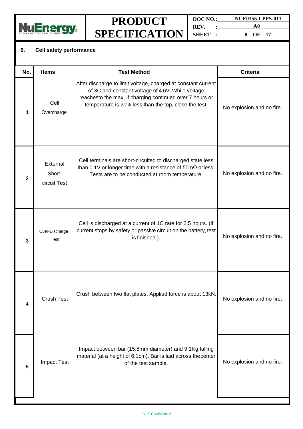

**DOC NO.: NUE0155-LPPS-011 REV. : A0 SHEET : 8 OF 17**

#### **6. Cell safety performance**

| No.          | <b>Items</b>                       | <b>Test Method</b>                                                                                                                                                                                                                      | <b>Criteria</b>           |
|--------------|------------------------------------|-----------------------------------------------------------------------------------------------------------------------------------------------------------------------------------------------------------------------------------------|---------------------------|
| 1            | Cell<br>Overcharge                 | After discharge to limit voltage, charged at constant current<br>of 3C and constant voltage of 4.6V, While voltage<br>reachesto the max, if charging continued over 7 hours or<br>temperature is 20% less than the top, close the test. | No explosion and no fire. |
| $\mathbf{2}$ | External<br>Short-<br>circuit Test | Cell terminals are short-circuited to discharged state less<br>than 0.1V or longer time with a resistance of $50 \text{m}\Omega$ or less.<br>Tests are to be conducted at room temperature.                                             | No explosion and no fire. |
| 3            | Over-Discharge<br>Test             | Cell is discharged at a current of 1C rate for 2.5 hours. (If<br>current stops by safety or passive circuit on the battery, test<br>is finished.).                                                                                      | No explosion and no fire. |
| 4            | <b>Crush Test</b>                  | Crush between two flat plates. Applied force is about 13kN.                                                                                                                                                                             | No explosion and no fire. |
| 5            | <b>Impact Test</b>                 | Impact between bar (15.8mm diameter) and 9.1Kg falling<br>material (at a height of 6.1cm). Bar is laid across thecenter<br>of the test sample.                                                                                          | No explosion and no fire. |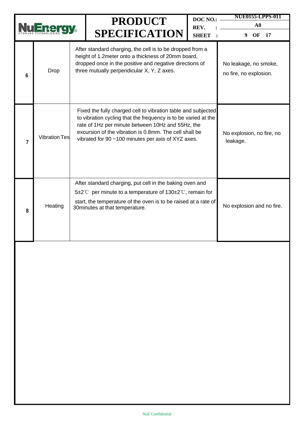|                |                      | <b>PRODUCT</b> |                                                                                                                                                                                                                                                                                                      | DOC NO.:                                                         | NUE0155-LPPS-011                      |
|----------------|----------------------|----------------|------------------------------------------------------------------------------------------------------------------------------------------------------------------------------------------------------------------------------------------------------------------------------------------------------|------------------------------------------------------------------|---------------------------------------|
|                |                      |                | <b>SPECIFICATION</b>                                                                                                                                                                                                                                                                                 | REV.<br><b>SHEET</b>                                             | $\mathbf{A0}$                         |
| 6              | Drop                 |                | After standard charging, the cell is to be dropped from a<br>height of 1.2meter onto a thickness of 20mm board,<br>dropped once in the positive and negative directions of<br>three mutually perpendicular X, Y, Z axes.                                                                             | 9<br>OF<br>17<br>No leakage, no smoke,<br>no fire, no explosion. |                                       |
| $\overline{7}$ | <b>Vibration Tes</b> |                | Fixed the fully charged cell to vibration table and subjected<br>to vibration cycling that the frequency is to be varied at the<br>rate of 1Hz per minute between 10Hz and 55Hz, the<br>excursion of the vibration is 0.8mm. The cell shall be<br>vibrated for 90 ~100 minutes per axis of XYZ axes. |                                                                  | No explosion, no fire, no<br>leakage. |
| 8              | Heating              |                | After standard charging, put cell in the baking oven and<br>5±2°C per minute to a temperature of $130\pm2$ °C, remain for<br>start, the temperature of the oven is to be raised at a rate of<br>30 minutes at that temperature.                                                                      |                                                                  | No explosion and no fire.             |
|                |                      |                |                                                                                                                                                                                                                                                                                                      |                                                                  |                                       |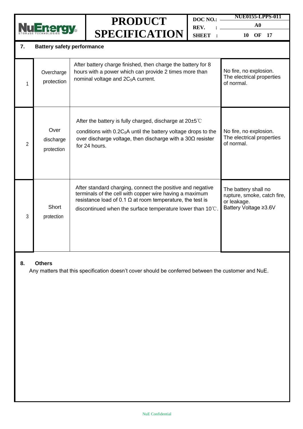| <b>Battery safety performance</b><br>7. |                                 |  | <b>PRODUCT</b><br><b>SPECIFICATION</b>                                                                                                                                                                                                                           | DOC NO.:<br>REV.<br>SHEET :                                       | NUE0155-LPPS-011<br>$\bf{A0}$<br>OF<br>17<br><b>10</b>                                      |
|-----------------------------------------|---------------------------------|--|------------------------------------------------------------------------------------------------------------------------------------------------------------------------------------------------------------------------------------------------------------------|-------------------------------------------------------------------|---------------------------------------------------------------------------------------------|
| 1                                       | Overcharge<br>protection        |  | After battery charge finished, then charge the battery for 8<br>hours with a power which can provide 2 times more than<br>nominal voltage and 2C <sub>5</sub> A current.                                                                                         | No fire, no explosion.<br>The electrical properties<br>of normal. |                                                                                             |
| $\overline{2}$                          | Over<br>discharge<br>protection |  | After the battery is fully charged, discharge at $20\pm5^{\circ}$<br>conditions with 0.2C <sub>5</sub> A until the battery voltage drops to the<br>over discharge voltage, then discharge with a $30\Omega$ resister<br>for 24 hours.                            | No fire, no explosion.<br>The electrical properties<br>of normal. |                                                                                             |
| 3                                       | Short<br>protection             |  | After standard charging, connect the positive and negative<br>terminals of the cell with copper wire having a maximum<br>resistance load of 0.1 $\Omega$ at room temperature, the test is<br>discontinued when the surface temperature lower than $10^{\circ}$ . |                                                                   | The battery shall no<br>rupture, smoke, catch fire,<br>or leakage.<br>Battery Voltage ≥3.6V |

#### **8. Others**

Any matters that this specification doesn't cover should be conferred between the customer and NuE.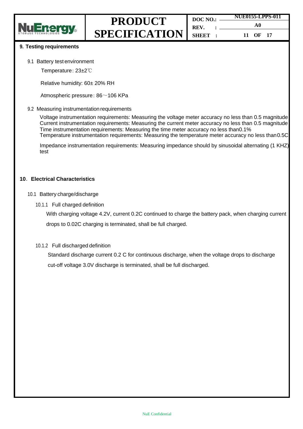

|         | <b>NUE0155-LPPS-011</b> |  |  |
|---------|-------------------------|--|--|
| REV. :  | A0                      |  |  |
| SHEET : | 11 OF 17                |  |  |

#### **9. Testing requirements**

- 9.1 Battery test environment
	- Temperature: 23±2℃

Relative humidity: 60± 20% RH

Atmospheric pressure: 86~106 KPa

#### 9.2 Measuring instrumentation requirements

Voltage instrumentation requirements: Measuring the voltage meter accuracy no less than 0.5 magnitude Current instrumentation requirements: Measuring the current meter accuracy no less than 0.5 magnitude Time instrumentation requirements: Measuring the time meter accuracy no less than0.1% Temperature instrumentation requirements: Measuring the temperature meter accuracy no less than0.5C

Impedance instrumentation requirements: Measuring impedance should by sinusoidal alternating (1 KHZ) test

#### **10**.**Electrical Characteristics**

#### 10.1 Battery charge/discharge

10.1.1 Full charged definition

With charging voltage 4.2V, current 0.2C continued to charge the battery pack, when charging current drops to 0.02C charging is terminated, shall be full charged.

#### 10.1.2 Full discharged definition

Standard discharge current 0.2 C for continuous discharge, when the voltage drops to discharge cut-off voltage 3.0V discharge is terminated, shall be full discharged.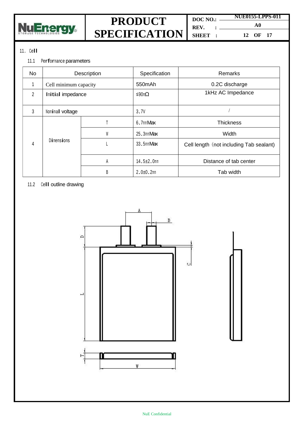

**DOC NO.: REV. : SHEET : NUE0155-LPPS-011 A0**

**12 OF 17**

#### <sup>11</sup>.Cell

#### 11.1 Performance parameters

| <b>No</b>      | Description           |   | Specification  | Remarks                                 |  |
|----------------|-----------------------|---|----------------|-----------------------------------------|--|
|                | Cell minimum capacity |   | 550mAh         | 0.2C discharge                          |  |
| $\overline{2}$ | Initial impedance     |   | ≤90mΩ          | 1kHz AC Impedance                       |  |
| 3              | Nominal voltage       |   | 3.7V           |                                         |  |
|                |                       |   | 6.7mmMax       | <b>Thickness</b>                        |  |
|                |                       | W | 25.3mmMax      | Width                                   |  |
| 4              | Dimensions            |   | 33.5mmMax      | Cell length (not including Tab sealant) |  |
|                |                       | A | 14.5±2.0mm     | Distance of tab center                  |  |
|                |                       | B | $2.0 + 0.2$ mm | Tab width                               |  |

#### 11.2 Cell outline drawing

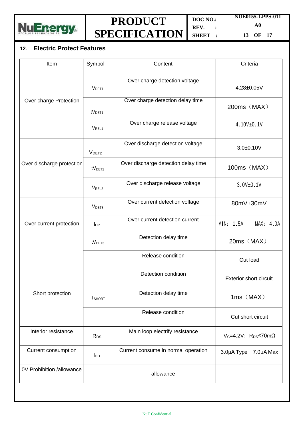

**DOC NO.: REV. : SHEET : NUE0155-LPPS-011 A0**

**13 OF 17**

### **12**. **Electric Protect Features**

| Item                      | Symbol             | Content                             | Criteria                                           |
|---------------------------|--------------------|-------------------------------------|----------------------------------------------------|
|                           | V <sub>DET1</sub>  | Over charge detection voltage       | 4.28±0.05V                                         |
| Over charge Protection    | tV <sub>DET1</sub> | Over charge detection delay time    | 200ms (MAX)                                        |
|                           | V <sub>REL1</sub>  | Over charge release voltage         | $4.10V + 0.1V$                                     |
|                           | V <sub>DET2</sub>  | Over discharge detection voltage    | $3.0 + 0.10V$                                      |
| Over discharge protection | tV <sub>DET2</sub> | Over discharge detection delay time | 100ms (MAX)                                        |
|                           | V <sub>REL2</sub>  | Over discharge release voltage      | 3.0V±0.1V                                          |
|                           | V <sub>DET3</sub>  | Over current detection voltage      | 80mV±30mV                                          |
| Over current protection   | $I_{DP}$           | Over current detection current      | MIN: 1.5A<br>MAX: 4.0A                             |
|                           | tV <sub>DET3</sub> | Detection delay time                | 20ms (MAX)                                         |
|                           |                    | Release condition                   | Cut load                                           |
|                           |                    | Detection condition                 | <b>Exterior short circuit</b>                      |
| Short protection          | <b>T</b> SHORT     | Detection delay time                | $1ms$ $(MAX)$                                      |
|                           |                    | Release condition                   | Cut short circuit                                  |
| Interior resistance       | R <sub>DS</sub>    | Main loop electrify resistance      | $V_c = 4.2V$ ; R <sub>DS</sub> $\leq$ 70m $\Omega$ |
| Current consumption       | $I_{DD}$           | Current consume in normal operation | 3.0µA Type<br>7.0µA Max                            |
| 0V Prohibition /allowance |                    | allowance                           |                                                    |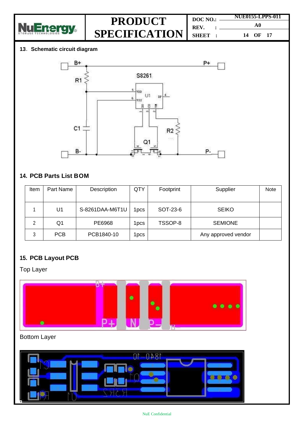

**DOC NO.: REV. : SHEET : NUE0155-LPPS-011 A0 14 OF 17**

#### **13**.**Schematic circuit diagram**



### **14. PCB Parts List BOM**

| Item | Part Name  | Description     | QTY        | Footprint | Supplier            | Note |
|------|------------|-----------------|------------|-----------|---------------------|------|
|      |            |                 |            |           |                     |      |
|      | U1         | S-8261DAA-M6T1U | <b>DCS</b> | SOT-23-6  | <b>SEIKO</b>        |      |
| 2    | Q1         | PE6968          | 1pcs       | TSSOP-8   | <b>SEMIONE</b>      |      |
| 3    | <b>PCB</b> | PCB1840-10      | l pcs      |           | Any approved vendor |      |

### **15. PCB Layout PCB**

Top Layer



### Bottom Layer

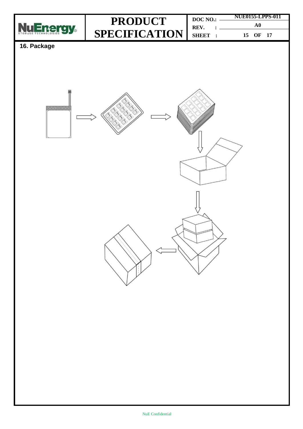

| DOC NO.: | <b>NUE0155-LPPS-011</b> |  |  |
|----------|-------------------------|--|--|
| REV.     | A0                      |  |  |
| SHEET :  | 15 OF 17                |  |  |

### **16. Package**

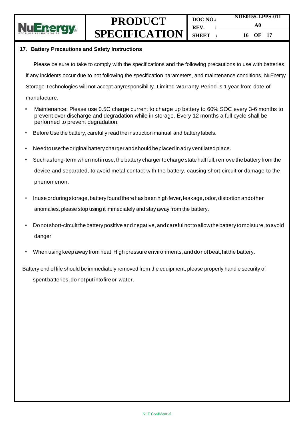

#### **17**.**Battery Precautions and Safety Instructions**

Please be sure to take to comply with the specifications and the following precautions to use with batteries, if any incidents occur due to not following the specification parameters, and maintenance conditions, NuEnergy Storage Technologies will not accept anyresponsibility. Limited Warranty Period is 1 year from date of manufacture.

- Maintenance: Please use 0.5C charge current to charge up battery to 60% SOC every 3-6 months to prevent over discharge and degradation while in storage. Every 12 months a full cycle shall be performed to prevent degradation.
- Before Use the battery, carefully read the instruction manual and battery labels.
- Needto usetheoriginalbattery charger andshould beplacedinadry ventilatedplace.
- Such as long-term when notinuse, the battery charger tocharge state halffull,remove the battery from the device and separated, to avoid metal contact with the battery, causing short-circuit or damage to the phenomenon.
- Inuse orduring storage, battery found there has been high fever, leakage, odor, distortion andother anomalies, please stop using it immediately and stay away from the battery.
- Donot short-circuitthebattery positive andnegative, andcareful nottoallowthe battery tomoisture, toavoid danger.
- When usingkeepaway from heat,High pressure environments, and donotbeat,hitthe battery.

Battery end of life should be immediately removed from the equipment, please properly handle security of

spent batteries, do notput intofireor water.